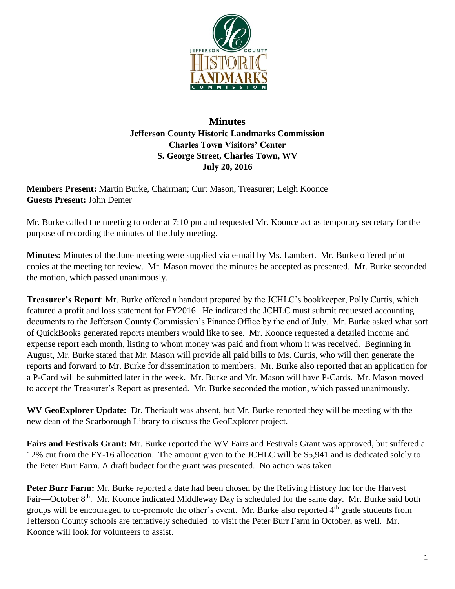

## **Minutes Jefferson County Historic Landmarks Commission Charles Town Visitors' Center S. George Street, Charles Town, WV July 20, 2016**

**Members Present:** Martin Burke, Chairman; Curt Mason, Treasurer; Leigh Koonce **Guests Present:** John Demer

Mr. Burke called the meeting to order at 7:10 pm and requested Mr. Koonce act as temporary secretary for the purpose of recording the minutes of the July meeting.

**Minutes:** Minutes of the June meeting were supplied via e-mail by Ms. Lambert. Mr. Burke offered print copies at the meeting for review. Mr. Mason moved the minutes be accepted as presented. Mr. Burke seconded the motion, which passed unanimously.

**Treasurer's Report**: Mr. Burke offered a handout prepared by the JCHLC's bookkeeper, Polly Curtis, which featured a profit and loss statement for FY2016. He indicated the JCHLC must submit requested accounting documents to the Jefferson County Commission's Finance Office by the end of July. Mr. Burke asked what sort of QuickBooks generated reports members would like to see. Mr. Koonce requested a detailed income and expense report each month, listing to whom money was paid and from whom it was received. Beginning in August, Mr. Burke stated that Mr. Mason will provide all paid bills to Ms. Curtis, who will then generate the reports and forward to Mr. Burke for dissemination to members. Mr. Burke also reported that an application for a P-Card will be submitted later in the week. Mr. Burke and Mr. Mason will have P-Cards. Mr. Mason moved to accept the Treasurer's Report as presented. Mr. Burke seconded the motion, which passed unanimously.

**WV GeoExplorer Update:** Dr. Theriault was absent, but Mr. Burke reported they will be meeting with the new dean of the Scarborough Library to discuss the GeoExplorer project.

**Fairs and Festivals Grant:** Mr. Burke reported the WV Fairs and Festivals Grant was approved, but suffered a 12% cut from the FY-16 allocation. The amount given to the JCHLC will be \$5,941 and is dedicated solely to the Peter Burr Farm. A draft budget for the grant was presented. No action was taken.

**Peter Burr Farm:** Mr. Burke reported a date had been chosen by the Reliving History Inc for the Harvest Fair—October 8<sup>th</sup>. Mr. Koonce indicated Middleway Day is scheduled for the same day. Mr. Burke said both groups will be encouraged to co-promote the other's event. Mr. Burke also reported  $4<sup>th</sup>$  grade students from Jefferson County schools are tentatively scheduled to visit the Peter Burr Farm in October, as well. Mr. Koonce will look for volunteers to assist.